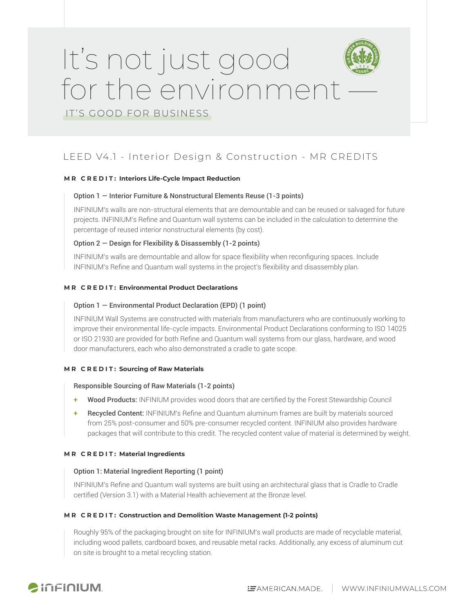# It's not just good for the environment

IT'S GOOD FOR BUSINESS

### LEED V4.1 - Interior Design & Construction - MR CREDITS

#### **M R C R E D I T : Interiors Life-Cycle Impact Reduction**

#### Option 1 — Interior Furniture & Nonstructural Elements Reuse (1-3 points)

INFINIUM's walls are non-structural elements that are demountable and can be reused or salvaged for future projects. INFINIUM's Refine and Quantum wall systems can be included in the calculation to determine the percentage of reused interior nonstructural elements (by cost).

#### Option 2 — Design for Flexibility & Disassembly (1-2 points)

INFINIUM's walls are demountable and allow for space flexibility when reconfiguring spaces. Include INFINIUM's Refine and Quantum wall systems in the project's flexibility and disassembly plan.

#### **MR CREDIT: Environmental Product Declarations**

#### Option 1 — Environmental Product Declaration (EPD) (1 point)

INFINIUM Wall Systems are constructed with materials from manufacturers who are continuously working to improve their environmental life-cycle impacts. Environmental Product Declarations conforming to ISO 14025 or ISO 21930 are provided for both Refine and Quantum wall systems from our glass, hardware, and wood door manufacturers, each who also demonstrated a cradle to gate scope.

#### **MR CREDIT: Sourcing of Raw Materials**

#### Responsible Sourcing of Raw Materials (1-2 points)

- + Wood Products: INFINIUM provides wood doors that are certified by the Forest Stewardship Council
- + Recycled Content: INFINIUM's Refine and Quantum aluminum frames are built by materials sourced from 25% post-consumer and 50% pre-consumer recycled content. INFINIUM also provides hardware packages that will contribute to this credit. The recycled content value of material is determined by weight.

#### **M R C R E D I T : Material Ingredients**

#### Option 1: Material Ingredient Reporting (1 point)

INFINIUM's Refine and Quantum wall systems are built using an architectural glass that is Cradle to Cradle certified (Version 3.1) with a Material Health achievement at the Bronze level.

#### **M R C R E D I T : Construction and Demolition Waste Management (1-2 points)**

Roughly 95% of the packaging brought on site for INFINIUM's wall products are made of recyclable material, including wood pallets, cardboard boxes, and reusable metal racks. Additionally, any excess of aluminum cut on site is brought to a metal recycling station.